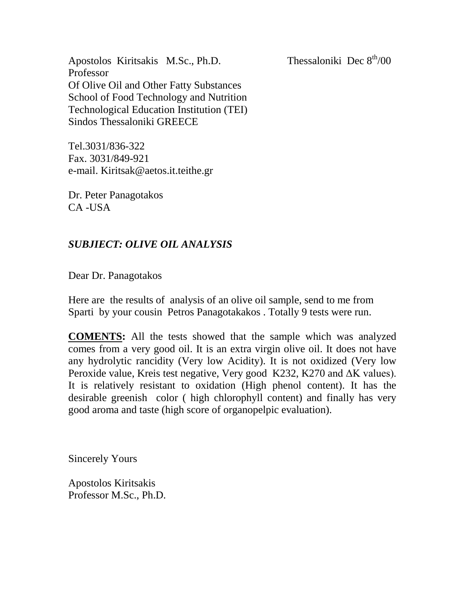Apostolos Kiritsakis M.Sc., Ph.D. Thessaloniki Dec  $8<sup>th</sup>/00$ Professor Of Olive Oil and Other Fatty Substances School of Food Technology and Nutrition Technological Education Institution (TEI) Sindos Thessaloniki GREECE

Tel.3031/836-322 Fax. 3031/849-921 e-mail. Kiritsak@aetos.it.teithe.gr

Dr. Peter Panagotakos CA -USA

## *SUBJIECT: OLIVE OIL ANALYSIS*

Dear Dr. Panagotakos

Here are the results of analysis of an olive oil sample, send to me from Sparti by your cousin Petros Panagotakakos . Totally 9 tests were run.

**COMENTS:** All the tests showed that the sample which was analyzed comes from a very good oil. It is an extra virgin olive oil. It does not have any hydrolytic rancidity (Very low Acidity). It is not oxidized (Very low Peroxide value, Kreis test negative, Very good K232, K270 and ΔΚ values). It is relatively resistant to oxidation (High phenol content). It has the desirable greenish color ( high chlorophyll content) and finally has very good aroma and taste (high score of organopelpic evaluation).

Sincerely Yours

Apostolos Kiritsakis Professor M.Sc., Ph.D.